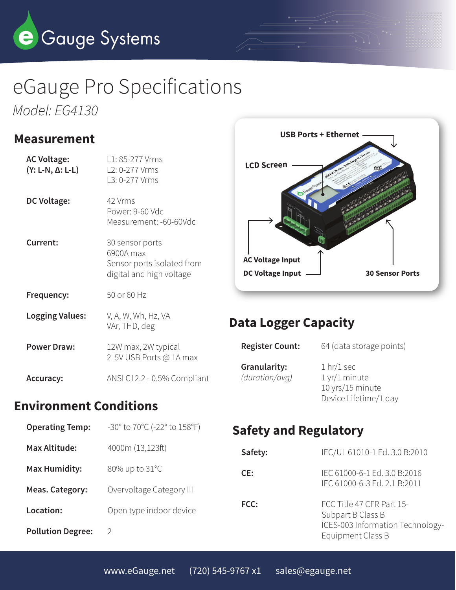

# eGauge Pro Specifications *Model: EG4130*

### **Measurement**

| <b>AC Voltage:</b><br>$(Y: L-N, \Delta: L-L)$ | L1: 85-277 Vrms<br>L2: 0-277 Vrms<br>L3: 0-277 Vrms                                    |
|-----------------------------------------------|----------------------------------------------------------------------------------------|
| <b>DC Voltage:</b>                            | 42 Vrms<br>Power: 9-60 Vdc<br>Measurement: -60-60Vdc                                   |
| Current:                                      | 30 sensor ports<br>6900A max<br>Sensor ports isolated from<br>digital and high voltage |
| Frequency:                                    | 50 or 60 Hz                                                                            |
| <b>Logging Values:</b>                        | V, A, W, Wh, Hz, VA<br>VAr, THD, deg                                                   |
| <b>Power Draw:</b>                            | 12W max, 2W typical<br>2 5V USB Ports @ 1A max                                         |
| <b>Accuracy:</b>                              | ANSI C12.2 - 0.5% Compliant                                                            |

## **Environment Conditions**

| <b>Operating Temp:</b>   | -30° to 70°C (-22° to 158°F) |
|--------------------------|------------------------------|
| <b>Max Altitude:</b>     | 4000m (13,123ft)             |
| <b>Max Humidity:</b>     | 80% up to 31°C               |
| Meas. Category:          | Overvoltage Category III     |
| Location:                | Open type indoor device      |
| <b>Pollution Degree:</b> | D                            |



## **Data Logger Capacity**

| <b>Register Count:</b>         | 64 (data storage points)                                                                        |
|--------------------------------|-------------------------------------------------------------------------------------------------|
| Granularity:<br>(duration/avq) | 1 <sup>hr</sup> /1 <sup>sec</sup><br>1 yr/1 minute<br>10 yrs/15 minute<br>Device Lifetime/1 day |

# **Safety and Regulatory**

| Safety: | IEC/UL 61010-1 Ed. 3.0 B:2010                                                                           |
|---------|---------------------------------------------------------------------------------------------------------|
| CE:     | IEC 61000-6-1 Ed. 3.0 B:2016<br>IEC 61000-6-3 Ed. 2.1 B:2011                                            |
| FCC:    | FCC Title 47 CFR Part 15-<br>Subpart B Class B<br>ICES-003 Information Technology-<br>Equipment Class B |